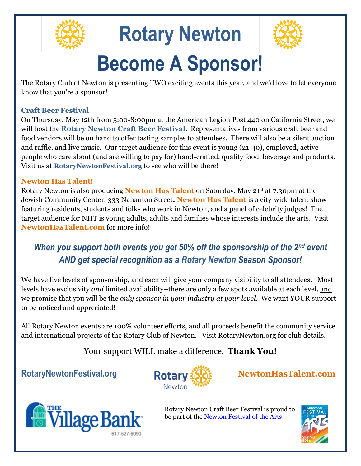

# **[Rotary Newton](http://www.rotarynewton.org/) Become A Sponsor!**



The Rotary Club of Newton is presenting TWO exciting events this year, and we'd love to let everyone know that you're a sponsor!

#### **[Craft Beer Festival](http://www.rotarynewtonfestival.org/)**

On Thursday, May 12th from 5:00-8:00pm at the American Legion [Post 440 on California Street,](https://www.google.com/maps/place/American+Legion+Post+440/@42.3655629,-71.1995855,15z/data=!4m2!3m1!1s0x0:0xa8e966457d6d61e7?sa=X&ved=0ahUKEwjatJvH89LLAhUMdz4KHZSiBYkQ_BIIcTAK) we will host the **[Rotary Newton](http://www.rotarynewtonfestival.org/) Craft Beer Festival**. Representatives from various craft beer and food vendors will be on hand to offer tasting samples to attendees. There will also be a silent auction and raffle, and live music. Our target audience for this event is young (21-40), employed, active people who care about (and are willing to pay for) hand-crafted, quality food, beverage and products. Visit us at **[RotaryNewtonFestival.org](http://www.rotarynewtonfestival.org/)** to see who will be there!

#### **[Newton Has Talent!](http://www.newtonhastalent.com/)**

Rotary Newton is also producing **[Newton Has Talent](http://www.newtonhastalent.com/)** on Saturday, May 21st at 7:30pm at the [Jewish Community Center, 333 Nahanton](https://www.google.com/maps/place/Leventhal-Sidman+JCC/@42.2993177,-71.204372,15z/data=!4m2!3m1!1s0x0:0x1c1032f0e3d9f64b) Street**. [Newton Has Talent](http://www.newtonhastalent.com/)** is a city-wide talent show featuring residents, students and folks who work in Newton, and a panel of celebrity judges! The target audience for NHT is young adults, adults and families whose interests include the arts. Visit **[NewtonHasTalent.com](http://www.newtonhastalent.com/)** for more info!

#### *When you support both events you get 50% off the sponsorship of the 2nd event AND get special recognition as a [Rotary Newton](http://www.rotarynewton.org/) Season Sponsor!*

We have five levels of sponsorship, and each will give your company visibility to all attendees. Most levels have exclusivity *and* limited availability–there are only a few spots available at each level, and we promise that you will be the *only sponsor in your industry at your level*. We want YOUR support to be noticed and appreciated!

All Rotary Newton events are 100% volunteer efforts, and all proceeds benefit the community service and international projects of the Rotary Club of Newton. Visit RotaryNewton.org for club details.

#### Your support WILL make a difference. **Thank You!**

### **[RotaryNewtonFestival.org](http://www.rotarynewtonfestival.org/sponsors--.html) [NewtonHasTalent.com](http://newtonhastalent.com/2016-sponsors)**





Rotary Newton Craft Beer Festival is proud to be part of the [Newton Festival of the Arts](http://www.newtoncommunitypride.org/festival/).

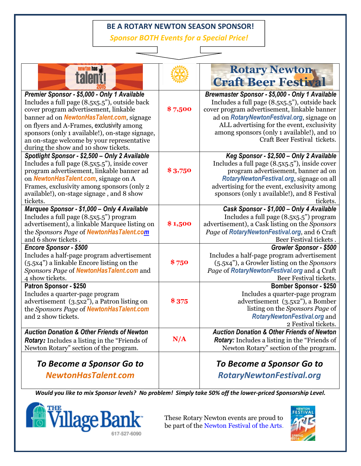#### **BE A ROTARY NEWTON SEASON SPONSOR!**

*Sponsor BOTH Events for a Special Price!*

|                                                                                                                                                                                                                                                                                                                                                                                   |         | <b>Rotary Newton</b><br><b>Craft Beer Festival</b>                                                                                                                                                                                                                                                                           |
|-----------------------------------------------------------------------------------------------------------------------------------------------------------------------------------------------------------------------------------------------------------------------------------------------------------------------------------------------------------------------------------|---------|------------------------------------------------------------------------------------------------------------------------------------------------------------------------------------------------------------------------------------------------------------------------------------------------------------------------------|
| Premier Sponsor - \$5,000 - Only 1 Available<br>Includes a full page (8.5x5.5"), outside back<br>cover program advertisement, linkable<br>banner ad on <b>NewtonHasTalent.com</b> , signage<br>on flyers and A-Frames, exclusivity among<br>sponsors (only 1 available!), on-stage signage,<br>an on-stage welcome by your representative<br>during the show and 10 show tickets. | \$7,500 | Brewmaster Sponsor - \$5,000 - Only 1 Available<br>Includes a full page $(8.5x5.5)$ , outside back<br>cover program advertisement, linkable banner<br>ad on RotaryNewtonFestival.org, signage on<br>ALL advertising for the event, exclusivity<br>among sponsors (only 1 available!), and 10<br>Craft Beer Festival tickets. |
| Spotlight Sponsor - \$2,500 - Only 2 Available<br>Includes a full page $(8.5x5.5)$ , inside cover<br>program advertisement, linkable banner ad<br>on NewtonHasTalent.com, signage on A<br>Frames, exclusivity among sponsors (only 2)<br>available!), on-stage signage, and 8 show<br>tickets.                                                                                    | \$3,750 | Keg Sponsor - \$2,500 - Only 2 Available<br>Includes a full page $(8.5x5.5)$ , inside cover<br>program advertisement, banner ad on<br>RotaryNewtonFestival.org, signage on all<br>advertising for the event, exclusivity among<br>sponsors (only 1 available!), and 8 Festival<br>tickets.                                   |
| Marquee Sponsor - \$1,000 - Only 4 Available<br>Includes a full page (8.5x5.5") program<br>advertisement), a linkable Marquee listing on<br>the Sponsors Page of NewtonHasTalent.com<br>and 6 show tickets.                                                                                                                                                                       | \$1,500 | Cask Sponsor - \$1,000 - Only 4 Available<br>Includes a full page (8.5x5.5") program<br>advertisement), a Cask listing on the Sponsors<br>Page of RotaryNewtonFestival.org, and 6 Craft<br>Beer Festival tickets.                                                                                                            |
| <b>Encore Sponsor - \$500</b><br>Includes a half-page program advertisement<br>(5.5x4") a linkable Encore listing on the<br>Sponsors Page of NewtonHas Talent.com and<br>4 show tickets.                                                                                                                                                                                          | \$750   | <b>Growler Sponsor - \$500</b><br>Includes a half-page program advertisement<br>(5.5x4"), a Growler listing on the Sponsors<br>Page of RotaryNewtonFestival.org and 4 Craft<br>Beer Festival tickets.                                                                                                                        |
| Patron Sponsor - \$250<br>Includes a quarter-page program<br>advertisement (3.5x2"), a Patron listing on<br>the Sponsors Page of NewtonHasTalent.com<br>and 2 show tickets.                                                                                                                                                                                                       | \$375   | <b>Bomber Sponsor - \$250</b><br>Includes a quarter-page program<br>advertisement (3.5x2"), a Bomber<br>listing on the Sponsors Page of<br>RotaryNewtonFestival.org and<br>2 Festival tickets.                                                                                                                               |
| <b>Auction Donation &amp; Other Friends of Newton</b><br><b>Rotary:</b> Includes a listing in the "Friends of<br>Newton Rotary" section of the program.                                                                                                                                                                                                                           | N/A     | <b>Auction Donation &amp; Other Friends of Newton</b><br><b>Rotary:</b> Includes a listing in the "Friends of<br>Newton Rotary" section of the program.                                                                                                                                                                      |
| To Become a Sponsor Go to                                                                                                                                                                                                                                                                                                                                                         |         | To Become a Sponsor Go to                                                                                                                                                                                                                                                                                                    |
| <b>NewtonHasTalent.com</b>                                                                                                                                                                                                                                                                                                                                                        |         | <b>RotaryNewtonFestival.org</b>                                                                                                                                                                                                                                                                                              |

*Would you like to mix Sponsor levels? No problem! Simply take 50% off the lower-priced Sponsorship Level.*



These Rotary Newton events are proud to be part of the [Newton Festival of the Arts](http://www.newtoncommunitypride.org/festival/).

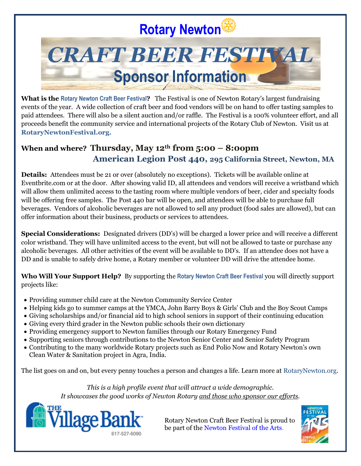## **[Rotary Newton](http://www.rotarynewton.org/)**



**What is the [Rotary Newton Craft Beer](http://www.rotarynewtonfestival.org/) Festival?** The Festival is one of Newton Rotary's largest fundraising events of the year. A wide collection of craft beer and food vendors will be on hand to offer tasting samples to paid attendees. There will also be a silent auction and/or raffle. The Festival is a 100% volunteer effort, and all proceeds benefit the community service and international projects of the Rotary Club of Newton. Visit us at **[RotaryNewtonFestival.org.](http://www.rotarynewtonfestival.org/)**

#### **When and where? Thursday, May 12th from 5:00 – 8:0opm American Legion Post 440, [295 California Street, Newton, MA](https://www.google.com/maps/place/American+Legion+Post+440/@42.3655629,-71.1995855,15z/data=!4m2!3m1!1s0x0:0xa8e966457d6d61e7)**

**Details:** Attendees must be 21 or over (absolutely no exceptions). Tickets will be available online at Eventbrite.com or at the door. After showing valid ID, all attendees and vendors will receive a wristband which will allow them unlimited access to the tasting room where multiple vendors of beer, cider and specialty foods will be offering free samples. The Post 440 bar will be open, and attendees will be able to purchase full beverages. Vendors of alcoholic beverages are not allowed to sell any product (food sales are allowed), but can offer information about their business, products or services to attendees.

**Special Considerations:** Designated drivers (DD's) will be charged a lower price and will receive a different color wristband. They will have unlimited access to the event, but will not be allowed to taste or purchase any alcoholic beverages. All other activities of the event will be available to DD's. If an attendee does not have a DD and is unable to safely drive home, a Rotary member or volunteer DD will drive the attendee home.

**Who Will Your Support Help?** By supporting the **[Rotary Newton Craft Beer Festival](http://www.rotarynewtonfestival.org/)** you will directly support projects like:

- Providing summer child care at the Newton Community Service Center
- Helping kids go to summer camps at the YMCA, John Barry Boys & Girls' Club and the Boy Scout Camps
- Giving scholarships and/or financial aid to high school seniors in support of their continuing education
- Giving every third grader in the Newton public schools their own dictionary
- Providing emergency support to Newton families through our Rotary Emergency Fund
- Supporting seniors through contributions to the Newton Senior Center and Senior Safety Program
- Contributing to the many worldwide Rotary projects such as End Polio Now and Rotary Newton's own Clean Water & Sanitation project in Agra, India.

The list goes on and on, but every penny touches a person and changes a life. Learn more at [RotaryNewton.org.](http://www.rotarynewton.org/)

*This is a high profile event that will attract a wide demographic. It showcases the good works of Newton Rotary and those who sponsor our efforts.*



Rotary Newton Craft Beer Festival is proud to be part of the [Newton Festival of the Arts](http://www.newtoncommunitypride.org/festival/).